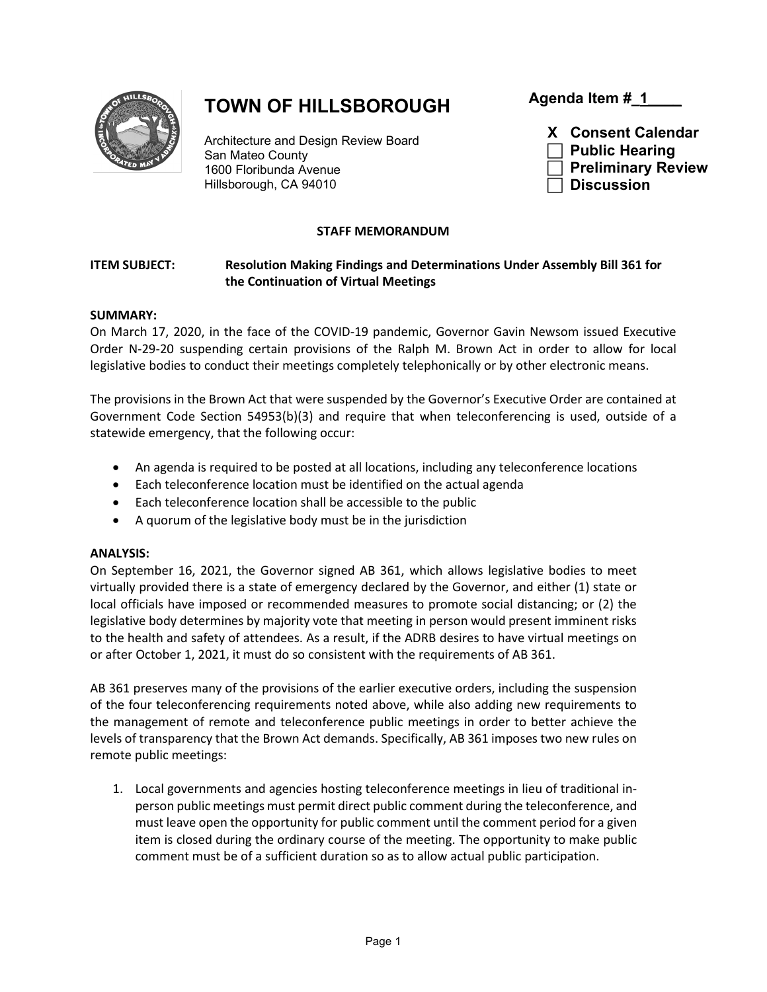

# **TOWN OF HILLSBOROUGH**

Architecture and Design Review Board San Mateo County 1600 Floribunda Avenue Hillsborough, CA 94010

**Agenda Item #\_1\_\_\_\_**



## **STAFF MEMORANDUM**

## **ITEM SUBJECT: Resolution Making Findings and Determinations Under Assembly Bill 361 for the Continuation of Virtual Meetings**

#### **SUMMARY:**

On March 17, 2020, in the face of the COVID-19 pandemic, Governor Gavin Newsom issued Executive Order N-29-20 suspending certain provisions of the Ralph M. Brown Act in order to allow for local legislative bodies to conduct their meetings completely telephonically or by other electronic means.

The provisions in the Brown Act that were suspended by the Governor's Executive Order are contained at Government Code Section 54953(b)(3) and require that when teleconferencing is used, outside of a statewide emergency, that the following occur:

- An agenda is required to be posted at all locations, including any teleconference locations
- Each teleconference location must be identified on the actual agenda
- Each teleconference location shall be accessible to the public
- A quorum of the legislative body must be in the jurisdiction

## **ANALYSIS:**

On September 16, 2021, the Governor signed AB 361, which allows legislative bodies to meet virtually provided there is a state of emergency declared by the Governor, and either (1) state or local officials have imposed or recommended measures to promote social distancing; or (2) the legislative body determines by majority vote that meeting in person would present imminent risks to the health and safety of attendees. As a result, if the ADRB desires to have virtual meetings on or after October 1, 2021, it must do so consistent with the requirements of AB 361.

AB 361 preserves many of the provisions of the earlier executive orders, including the suspension of the four teleconferencing requirements noted above, while also adding new requirements to the management of remote and teleconference public meetings in order to better achieve the levels of transparency that the Brown Act demands. Specifically, AB 361 imposes two new rules on remote public meetings:

1. Local governments and agencies hosting teleconference meetings in lieu of traditional inperson public meetings must permit direct public comment during the teleconference, and must leave open the opportunity for public comment until the comment period for a given item is closed during the ordinary course of the meeting. The opportunity to make public comment must be of a sufficient duration so as to allow actual public participation.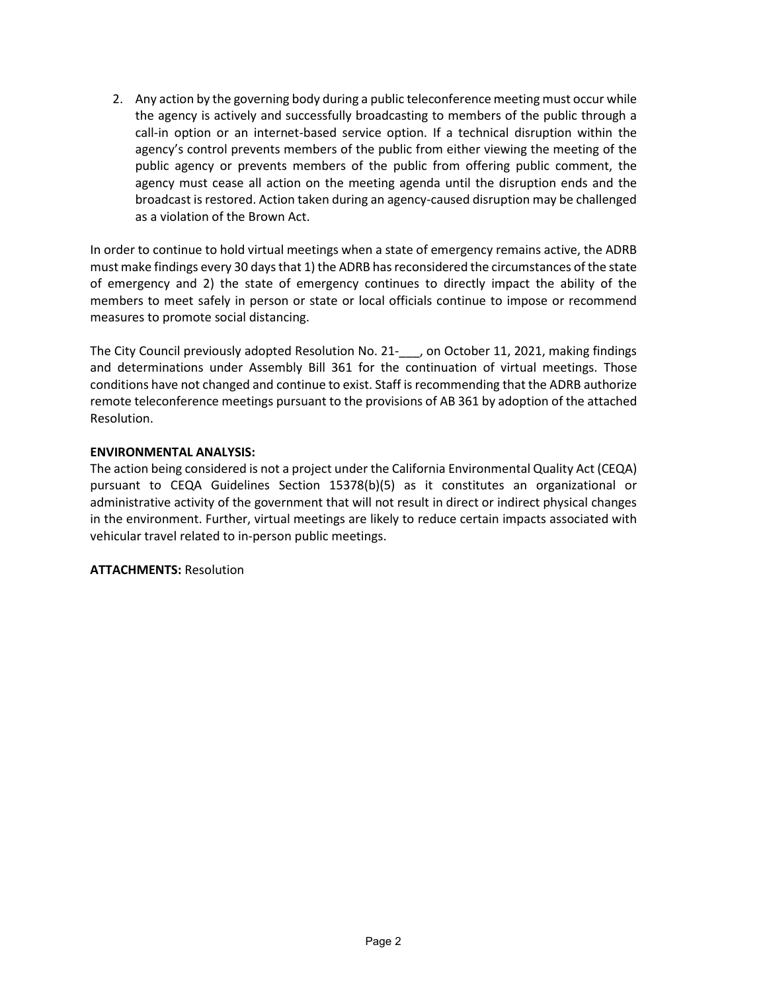2. Any action by the governing body during a public teleconference meeting must occur while the agency is actively and successfully broadcasting to members of the public through a call-in option or an internet-based service option. If a technical disruption within the agency's control prevents members of the public from either viewing the meeting of the public agency or prevents members of the public from offering public comment, the agency must cease all action on the meeting agenda until the disruption ends and the broadcast is restored. Action taken during an agency-caused disruption may be challenged as a violation of the Brown Act.

In order to continue to hold virtual meetings when a state of emergency remains active, the ADRB must make findings every 30 days that 1) the ADRB has reconsidered the circumstances of the state of emergency and 2) the state of emergency continues to directly impact the ability of the members to meet safely in person or state or local officials continue to impose or recommend measures to promote social distancing.

The City Council previously adopted Resolution No. 21-\_\_\_, on October 11, 2021, making findings and determinations under Assembly Bill 361 for the continuation of virtual meetings. Those conditions have not changed and continue to exist. Staff is recommending that the ADRB authorize remote teleconference meetings pursuant to the provisions of AB 361 by adoption of the attached Resolution.

#### **ENVIRONMENTAL ANALYSIS:**

The action being considered is not a project under the California Environmental Quality Act (CEQA) pursuant to CEQA Guidelines Section 15378(b)(5) as it constitutes an organizational or administrative activity of the government that will not result in direct or indirect physical changes in the environment. Further, virtual meetings are likely to reduce certain impacts associated with vehicular travel related to in-person public meetings.

**ATTACHMENTS:** Resolution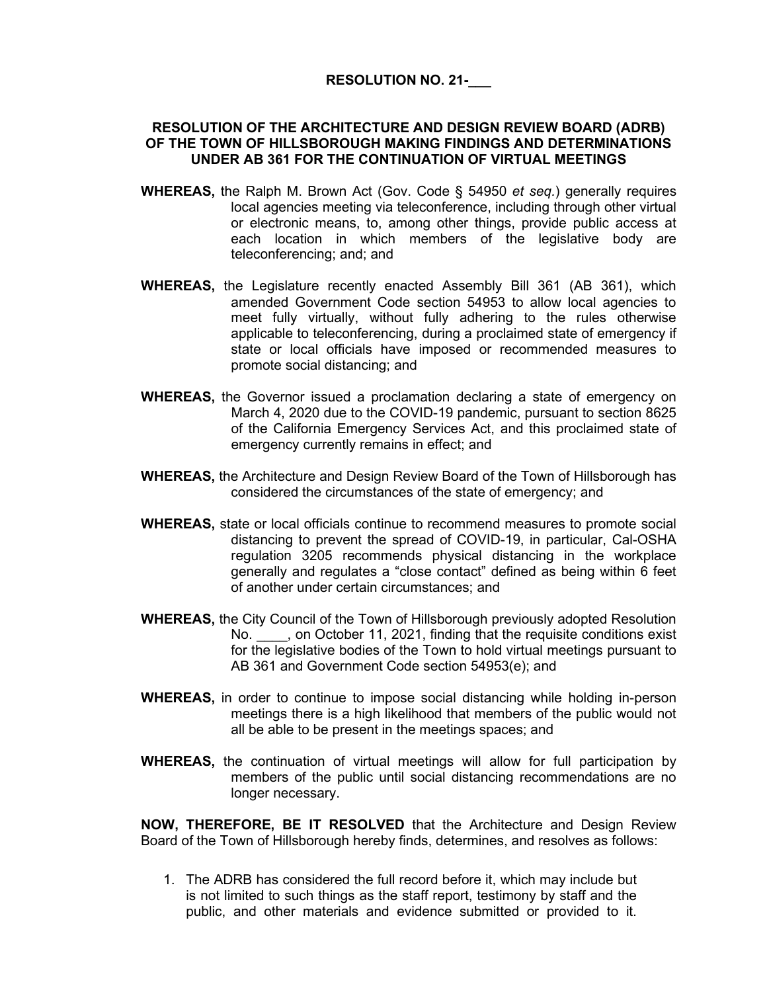## **RESOLUTION NO. 21-\_\_\_**

#### **RESOLUTION OF THE ARCHITECTURE AND DESIGN REVIEW BOARD (ADRB) OF THE TOWN OF HILLSBOROUGH MAKING FINDINGS AND DETERMINATIONS UNDER AB 361 FOR THE CONTINUATION OF VIRTUAL MEETINGS**

- **WHEREAS,** the Ralph M. Brown Act (Gov. Code § 54950 *et seq.*) generally requires local agencies meeting via teleconference, including through other virtual or electronic means, to, among other things, provide public access at each location in which members of the legislative body are teleconferencing; and; and
- **WHEREAS,** the Legislature recently enacted Assembly Bill 361 (AB 361), which amended Government Code section 54953 to allow local agencies to meet fully virtually, without fully adhering to the rules otherwise applicable to teleconferencing, during a proclaimed state of emergency if state or local officials have imposed or recommended measures to promote social distancing; and
- **WHEREAS,** the Governor issued a proclamation declaring a state of emergency on March 4, 2020 due to the COVID-19 pandemic, pursuant to section 8625 of the California Emergency Services Act, and this proclaimed state of emergency currently remains in effect; and
- **WHEREAS,** the Architecture and Design Review Board of the Town of Hillsborough has considered the circumstances of the state of emergency; and
- **WHEREAS,** state or local officials continue to recommend measures to promote social distancing to prevent the spread of COVID-19, in particular, Cal-OSHA regulation 3205 recommends physical distancing in the workplace generally and regulates a "close contact" defined as being within 6 feet of another under certain circumstances; and
- **WHEREAS,** the City Council of the Town of Hillsborough previously adopted Resolution No.  $\blacksquare$ , on October 11, 2021, finding that the requisite conditions exist for the legislative bodies of the Town to hold virtual meetings pursuant to AB 361 and Government Code section 54953(e); and
- **WHEREAS,** in order to continue to impose social distancing while holding in-person meetings there is a high likelihood that members of the public would not all be able to be present in the meetings spaces; and
- **WHEREAS,** the continuation of virtual meetings will allow for full participation by members of the public until social distancing recommendations are no longer necessary.

**NOW, THEREFORE, BE IT RESOLVED** that the Architecture and Design Review Board of the Town of Hillsborough hereby finds, determines, and resolves as follows:

1. The ADRB has considered the full record before it, which may include but is not limited to such things as the staff report, testimony by staff and the public, and other materials and evidence submitted or provided to it.